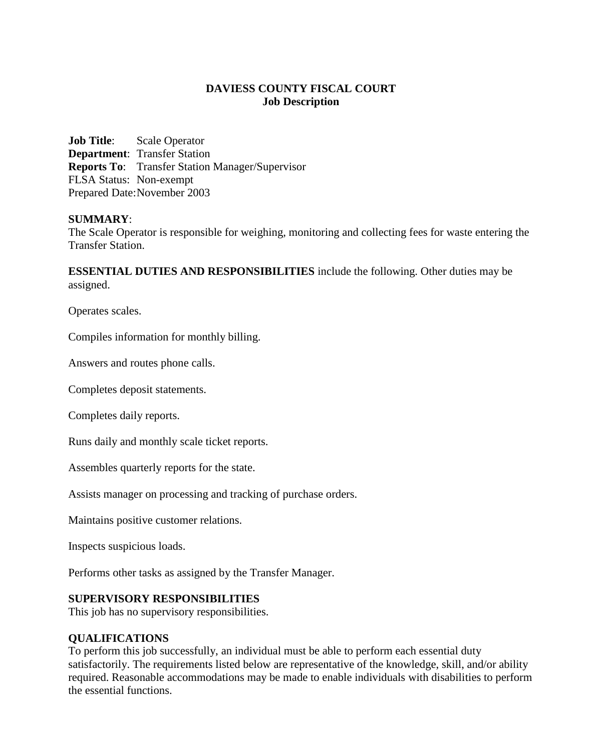# **DAVIESS COUNTY FISCAL COURT Job Description**

**Job Title**: Scale Operator **Department**: Transfer Station **Reports To**: Transfer Station Manager/Supervisor FLSA Status: Non-exempt Prepared Date:November 2003

### **SUMMARY**:

The Scale Operator is responsible for weighing, monitoring and collecting fees for waste entering the Transfer Station.

**ESSENTIAL DUTIES AND RESPONSIBILITIES** include the following. Other duties may be assigned.

Operates scales.

Compiles information for monthly billing.

Answers and routes phone calls.

Completes deposit statements.

Completes daily reports.

Runs daily and monthly scale ticket reports.

Assembles quarterly reports for the state.

Assists manager on processing and tracking of purchase orders.

Maintains positive customer relations.

Inspects suspicious loads.

Performs other tasks as assigned by the Transfer Manager.

#### **SUPERVISORY RESPONSIBILITIES**

This job has no supervisory responsibilities.

#### **QUALIFICATIONS**

To perform this job successfully, an individual must be able to perform each essential duty satisfactorily. The requirements listed below are representative of the knowledge, skill, and/or ability required. Reasonable accommodations may be made to enable individuals with disabilities to perform the essential functions.